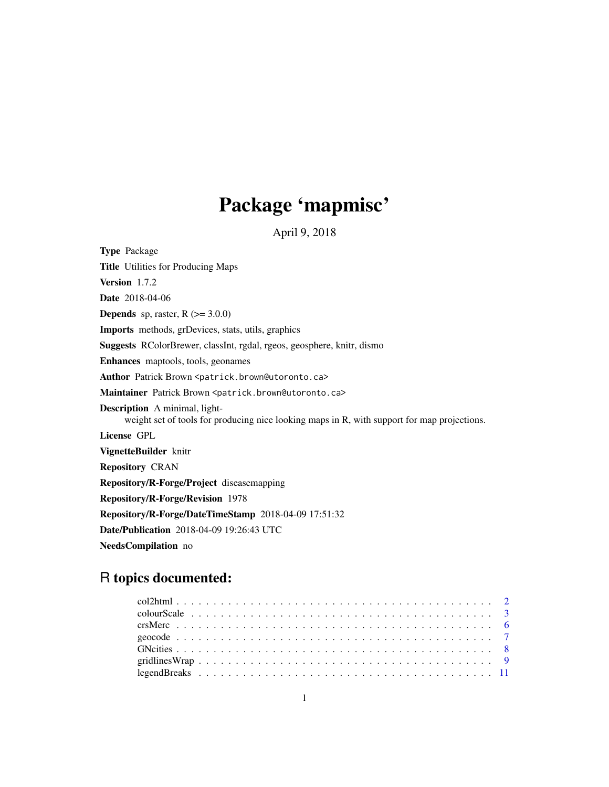# Package 'mapmisc'

April 9, 2018

<span id="page-0-0"></span>Type Package Title Utilities for Producing Maps Version 1.7.2 Date 2018-04-06 **Depends** sp, raster,  $R$  ( $>= 3.0.0$ ) Imports methods, grDevices, stats, utils, graphics Suggests RColorBrewer, classInt, rgdal, rgeos, geosphere, knitr, dismo Enhances maptools, tools, geonames Author Patrick Brown <patrick.brown@utoronto.ca> Maintainer Patrick Brown <patrick.brown@utoronto.ca> Description A minimal, lightweight set of tools for producing nice looking maps in R, with support for map projections. License GPL VignetteBuilder knitr Repository CRAN Repository/R-Forge/Project diseasemapping Repository/R-Forge/Revision 1978 Repository/R-Forge/DateTimeStamp 2018-04-09 17:51:32 Date/Publication 2018-04-09 19:26:43 UTC NeedsCompilation no

## R topics documented: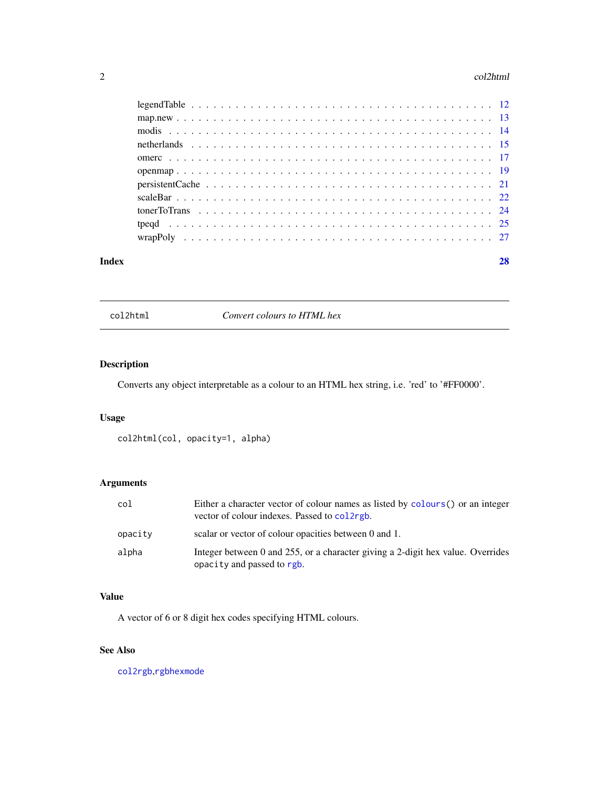#### <span id="page-1-0"></span>2 col2html

| Index | 28 |
|-------|----|
|       |    |
|       |    |
|       |    |
|       |    |
|       |    |
|       |    |
|       |    |
|       |    |
|       |    |
|       |    |
|       |    |

col2html *Convert colours to HTML hex*

## Description

Converts any object interpretable as a colour to an HTML hex string, i.e. 'red' to '#FF0000'.

## Usage

```
col2html(col, opacity=1, alpha)
```
## Arguments

| col     | Either a character vector of colour names as listed by colours() or an integer<br>vector of colour indexes. Passed to college. |
|---------|--------------------------------------------------------------------------------------------------------------------------------|
| opacity | scalar or vector of colour opacities between 0 and 1.                                                                          |
| alpha   | Integer between 0 and 255, or a character giving a 2-digit hex value. Overrides<br>opacity and passed to rgb.                  |

## Value

A vector of 6 or 8 digit hex codes specifying HTML colours.

## See Also

[col2rgb](#page-0-0),[rgbhexmode](#page-0-0)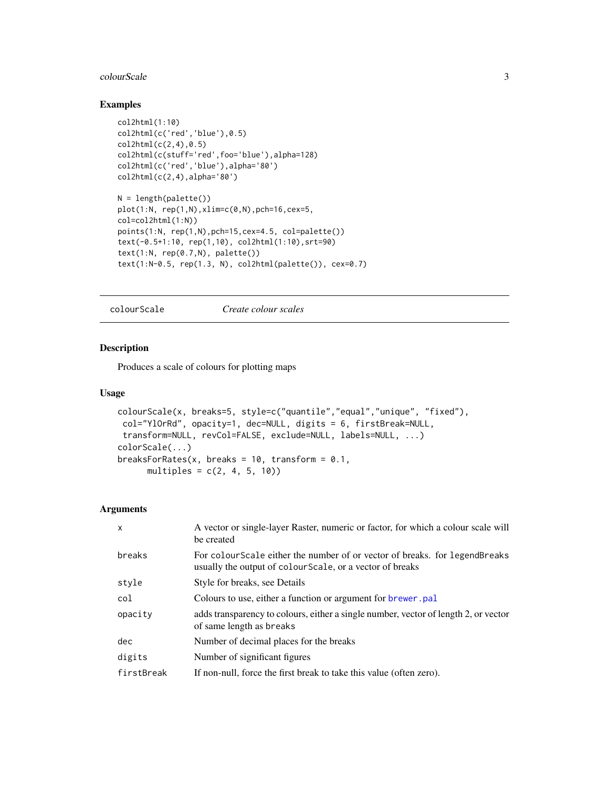#### <span id="page-2-0"></span>colourScale 3

## Examples

```
col2html(1:10)
col2html(c('red','blue'),0.5)
col2html(c(2,4),0.5)col2html(c(stuff='red',foo='blue'),alpha=128)
col2html(c('red','blue'),alpha='80')
col2html(c(2,4),alpha='80')
N = length(palette())plot(1:N, rep(1,N),xlim=c(0,N),pch=16,cex=5,
col=col2html(1:N))
points(1:N, rep(1,N),pch=15,cex=4.5, col=palette())
text(-0.5+1:10, rep(1,10), col2html(1:10),srt=90)
text(1:N, rep(0.7,N), palette())
text(1:N-0.5, rep(1.3, N), col2html(palette()), cex=0.7)
```
<span id="page-2-1"></span>colourScale *Create colour scales*

#### Description

Produces a scale of colours for plotting maps

#### Usage

```
colourScale(x, breaks=5, style=c("quantile","equal","unique", "fixed"),
col="YlOrRd", opacity=1, dec=NULL, digits = 6, firstBreak=NULL,
transform=NULL, revCol=FALSE, exclude=NULL, labels=NULL, ...)
colorScale(...)
breaksForRates(x, breaks = 10, transform = 0.1,
     multiples = c(2, 4, 5, 10)
```
#### Arguments

| $\mathsf{x}$ | A vector or single-layer Raster, numeric or factor, for which a colour scale will<br>be created                                           |
|--------------|-------------------------------------------------------------------------------------------------------------------------------------------|
| breaks       | For colour Scale either the number of or vector of breaks, for legend Breaks<br>usually the output of colour Scale, or a vector of breaks |
| style        | Style for breaks, see Details                                                                                                             |
| col          | Colours to use, either a function or argument for <b>brewer</b> , pal                                                                     |
| opacity      | adds transparency to colours, either a single number, vector of length 2, or vector<br>of same length as breaks                           |
| dec          | Number of decimal places for the breaks                                                                                                   |
| digits       | Number of significant figures                                                                                                             |
| firstBreak   | If non-null, force the first break to take this value (often zero).                                                                       |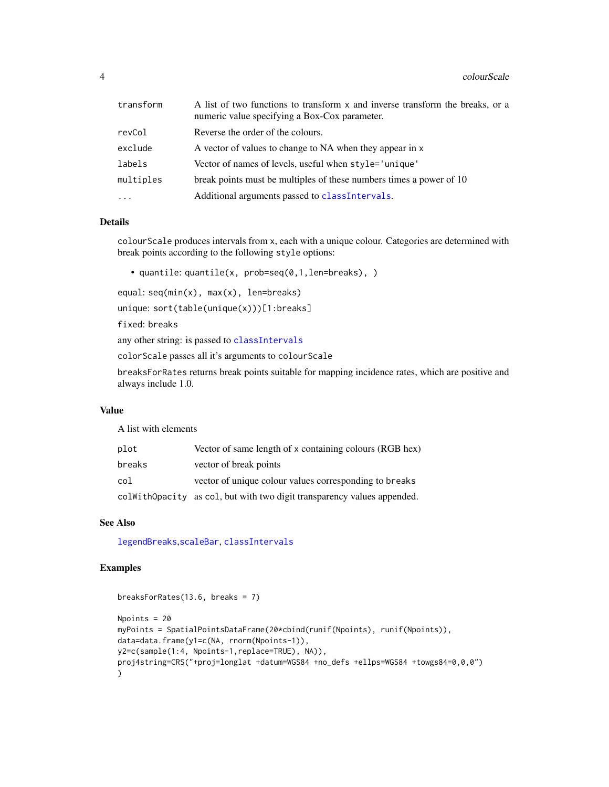<span id="page-3-0"></span>

| transform | A list of two functions to transform x and inverse transform the breaks, or a<br>numeric value specifying a Box-Cox parameter. |
|-----------|--------------------------------------------------------------------------------------------------------------------------------|
| revCol    | Reverse the order of the colours.                                                                                              |
| exclude   | A vector of values to change to NA when they appear in x                                                                       |
| labels    | Vector of names of levels, useful when style='unique'                                                                          |
| multiples | break points must be multiples of these numbers times a power of 10                                                            |
| $\cdots$  | Additional arguments passed to classIntervals.                                                                                 |

#### Details

colourScale produces intervals from x, each with a unique colour. Categories are determined with break points according to the following style options:

• quantile: quantile(x, prob=seq(0,1,len=breaks), )

equal: seq(min(x), max(x), len=breaks)

unique: sort(table(unique(x)))[1:breaks]

fixed: breaks

any other string: is passed to [classIntervals](#page-0-0)

colorScale passes all it's arguments to colourScale

breaksForRates returns break points suitable for mapping incidence rates, which are positive and always include 1.0.

## Value

A list with elements

| plot   | Vector of same length of x containing colours (RGB hex)                 |
|--------|-------------------------------------------------------------------------|
| breaks | vector of break points                                                  |
| col    | vector of unique colour values corresponding to breaks                  |
|        | colWithOpacity as col, but with two digit transparency values appended. |

## See Also

[legendBreaks](#page-10-1),[scaleBar](#page-21-1), [classIntervals](#page-0-0)

## Examples

```
breaksForRates(13.6, breaks = 7)
Npoints = 20
myPoints = SpatialPointsDataFrame(20*cbind(runif(Npoints), runif(Npoints)),
data=data.frame(y1=c(NA, rnorm(Npoints-1)),
y2=c(sample(1:4, Npoints-1,replace=TRUE), NA)),
proj4string=CRS("+proj=longlat +datum=WGS84 +no_defs +ellps=WGS84 +towgs84=0,0,0")
)
```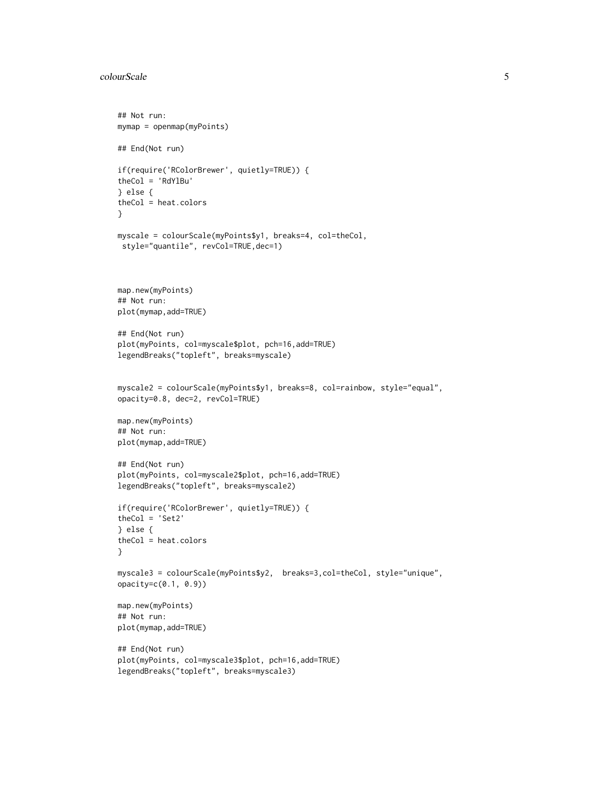#### colourScale 55 and 55 and 55 and 55 and 55 and 55 and 55 and 55 and 55 and 55 and 55 and 55 and 55 and 55 and 55 and 55 and 55 and 55 and 55 and 55 and 55 and 55 and 55 and 55 and 55 and 55 and 55 and 55 and 55 and 55 and

```
## Not run:
mymap = openmap(myPoints)
## End(Not run)
if(require('RColorBrewer', quietly=TRUE)) {
theCol = 'RdYlBu'
} else {
theCol = heat.colors
}
myscale = colourScale(myPoints$y1, breaks=4, col=theCol,
style="quantile", revCol=TRUE,dec=1)
map.new(myPoints)
## Not run:
plot(mymap,add=TRUE)
## End(Not run)
plot(myPoints, col=myscale$plot, pch=16,add=TRUE)
legendBreaks("topleft", breaks=myscale)
myscale2 = colourScale(myPoints$y1, breaks=8, col=rainbow, style="equal",
opacity=0.8, dec=2, revCol=TRUE)
map.new(myPoints)
## Not run:
plot(mymap,add=TRUE)
## End(Not run)
plot(myPoints, col=myscale2$plot, pch=16,add=TRUE)
legendBreaks("topleft", breaks=myscale2)
if(require('RColorBrewer', quietly=TRUE)) {
theCol = 'Set2'
} else {
theCol = heat.colors
}
myscale3 = colourScale(myPoints$y2, breaks=3,col=theCol, style="unique",
opacity=c(0.1, 0.9))
map.new(myPoints)
## Not run:
plot(mymap,add=TRUE)
## End(Not run)
plot(myPoints, col=myscale3$plot, pch=16,add=TRUE)
legendBreaks("topleft", breaks=myscale3)
```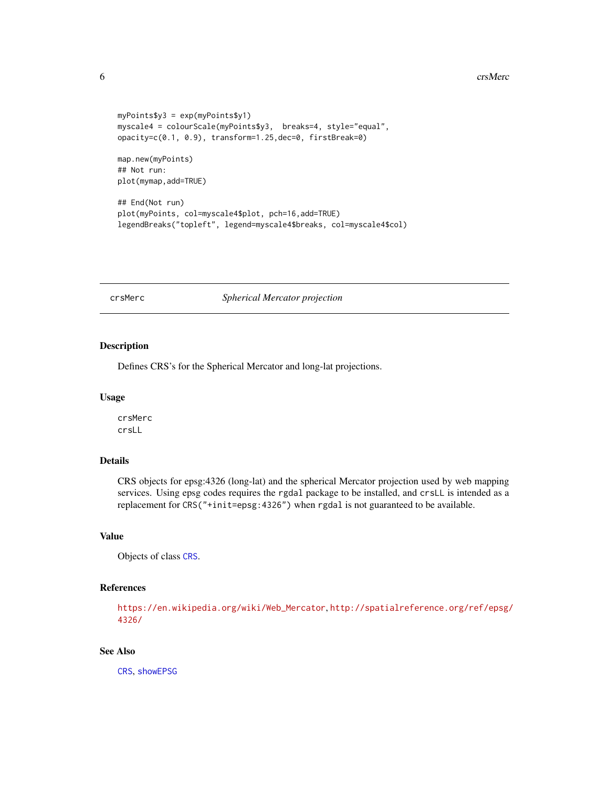#### <span id="page-5-0"></span>6 crsMerc crsMerc crsMerc crsMerc crsMerc crsMerc crsMerc crsMerc crsMerc crsMerc crsMerc crsMerc crsMerc crsMerc crsMerc crsMerc crsMerc crsMerc crsMerc crsMerc crsMerc crsMerc crsMerc crsMerc crsMerc crsMerc crsMerc crsM

```
myPoints$y3 = exp(myPoints$y1)
myscale4 = colourScale(myPoints$y3, breaks=4, style="equal",
opacity=c(0.1, 0.9), transform=1.25,dec=0, firstBreak=0)
```
map.new(myPoints) ## Not run: plot(mymap,add=TRUE)

## End(Not run) plot(myPoints, col=myscale4\$plot, pch=16,add=TRUE) legendBreaks("topleft", legend=myscale4\$breaks, col=myscale4\$col)

crsMerc *Spherical Mercator projection*

## Description

Defines CRS's for the Spherical Mercator and long-lat projections.

#### Usage

crsMerc crsLL

## Details

CRS objects for epsg:4326 (long-lat) and the spherical Mercator projection used by web mapping services. Using epsg codes requires the rgdal package to be installed, and crsLL is intended as a replacement for CRS("+init=epsg:4326") when rgdal is not guaranteed to be available.

## Value

Objects of class [CRS](#page-0-0).

#### References

[https://en.wikipedia.org/wiki/Web\\_Mercator](https://en.wikipedia.org/wiki/Web_Mercator), [http://spatialreference.org/ref/epsg/](http://spatialreference.org/ref/epsg/4326/) [4326/](http://spatialreference.org/ref/epsg/4326/)

## See Also

[CRS](#page-0-0), [showEPSG](#page-0-0)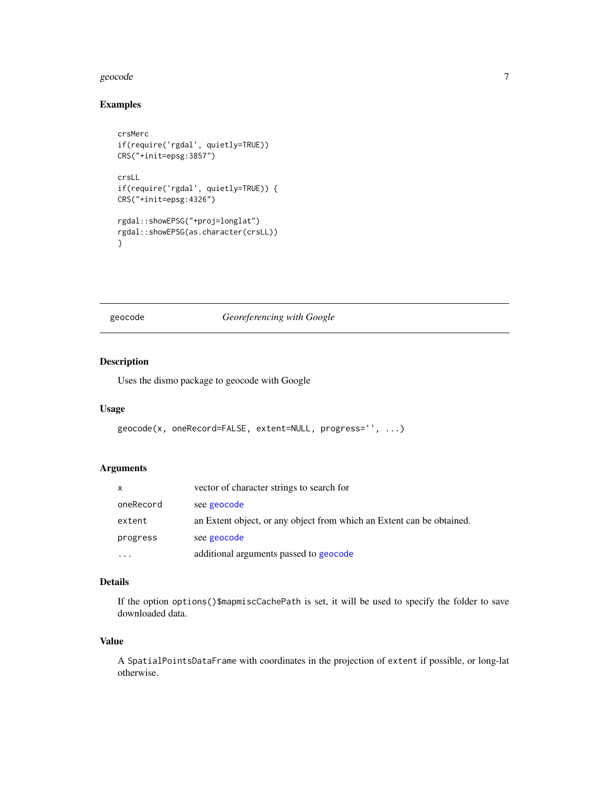#### <span id="page-6-0"></span>geocode **7** and 7 and 7 and 7 and 7 and 7 and 7 and 7 and 7 and 7 and 7 and 7 and 7 and 7 and 7 and 7 and 7 and 7 and 7 and 7 and 7 and 7 and 7 and 7 and 7 and 7 and 7 and 7 and 7 and 7 and 7 and 7 and 7 and 7 and 7 and 7

## Examples

```
crsMerc
if(require('rgdal', quietly=TRUE))
CRS("+init=epsg:3857")
crsLL
if(require('rgdal', quietly=TRUE)) {
CRS("+init=epsg:4326")
rgdal::showEPSG("+proj=longlat")
rgdal::showEPSG(as.character(crsLL))
}
```
<span id="page-6-1"></span>geocode *Georeferencing with Google*

## Description

Uses the dismo package to geocode with Google

#### Usage

```
geocode(x, oneRecord=FALSE, extent=NULL, progress='', ...)
```
## Arguments

| $\mathsf{x}$ | vector of character strings to search for                             |
|--------------|-----------------------------------------------------------------------|
| oneRecord    | see geocode                                                           |
| extent       | an Extent object, or any object from which an Extent can be obtained. |
| progress     | see geocode                                                           |
|              | additional arguments passed to geocode                                |

## Details

If the option options()\$mapmiscCachePath is set, it will be used to specify the folder to save downloaded data.

## Value

A SpatialPointsDataFrame with coordinates in the projection of extent if possible, or long-lat otherwise.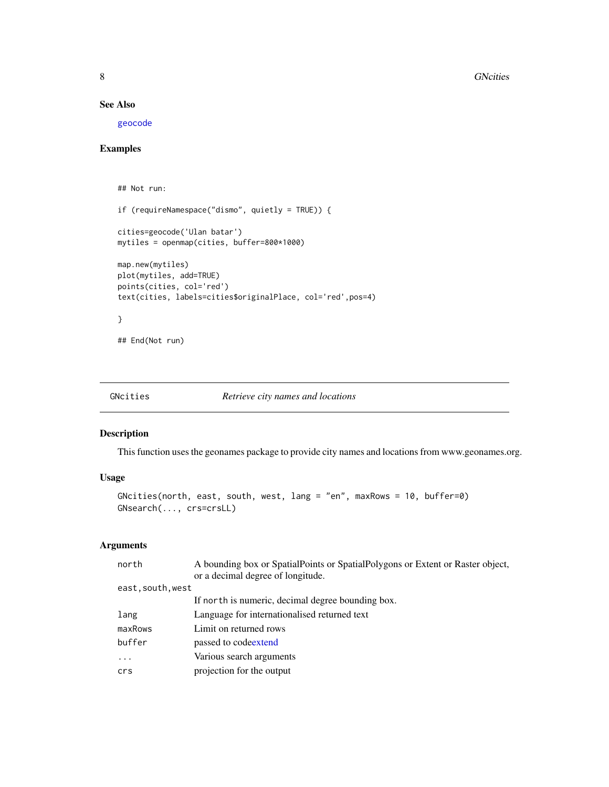## See Also

[geocode](#page-6-1)

## Examples

```
## Not run:
if (requireNamespace("dismo", quietly = TRUE)) {
cities=geocode('Ulan batar')
mytiles = openmap(cities, buffer=800*1000)
map.new(mytiles)
plot(mytiles, add=TRUE)
points(cities, col='red')
text(cities, labels=cities$originalPlace, col='red',pos=4)
}
```
## End(Not run)

<span id="page-7-1"></span>

#### <span id="page-7-2"></span>Description

This function uses the geonames package to provide city names and locations from www.geonames.org.

#### Usage

```
GNcities(north, east, south, west, lang = "en", maxRows = 10, buffer=0)
GNsearch(..., crs=crsLL)
```
#### Arguments

| north             | A bounding box or SpatialPoints or SpatialPolygons or Extent or Raster object, |
|-------------------|--------------------------------------------------------------------------------|
|                   | or a decimal degree of longitude.                                              |
| east, south, west |                                                                                |
|                   | If north is numeric, decimal degree bounding box.                              |
| lang              | Language for internationalised returned text                                   |
| maxRows           | Limit on returned rows                                                         |
| buffer            | passed to codeextend                                                           |
| $\ddots$          | Various search arguments                                                       |
| crs               | projection for the output                                                      |

<span id="page-7-0"></span>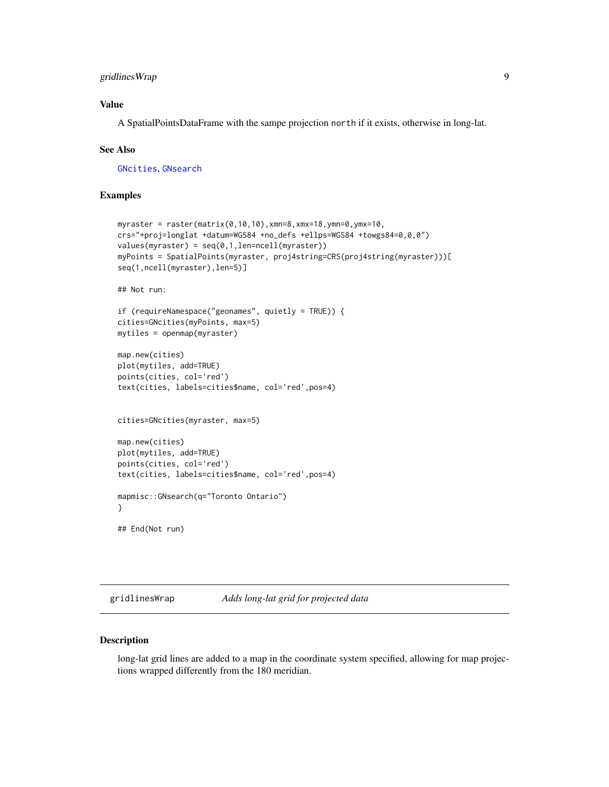## <span id="page-8-0"></span>gridlinesWrap 9

## Value

A SpatialPointsDataFrame with the sampe projection north if it exists, otherwise in long-lat.

#### See Also

[GNcities](#page-7-1), [GNsearch](#page-7-2)

#### Examples

```
myraster = raster(matrix(0,10,10),xmn=8,xmx=18,ymn=0,ymx=10,
crs="+proj=longlat +datum=WGS84 +no_defs +ellps=WGS84 +towgs84=0,0,0")
values(myraster) = seq(0,1,len=ncell(myraster))
myPoints = SpatialPoints(myraster, proj4string=CRS(proj4string(myraster)))[
seq(1,ncell(myraster),len=5)]
## Not run:
if (requireNamespace("geonames", quietly = TRUE)) {
cities=GNcities(myPoints, max=5)
mytiles = openmap(myraster)
map.new(cities)
plot(mytiles, add=TRUE)
points(cities, col='red')
text(cities, labels=cities$name, col='red',pos=4)
cities=GNcities(myraster, max=5)
map.new(cities)
plot(mytiles, add=TRUE)
points(cities, col='red')
text(cities, labels=cities$name, col='red',pos=4)
mapmisc::GNsearch(q="Toronto Ontario")
}
## End(Not run)
```
gridlinesWrap *Adds long-lat grid for projected data*

#### Description

long-lat grid lines are added to a map in the coordinate system specified, allowing for map projections wrapped differently from the 180 meridian.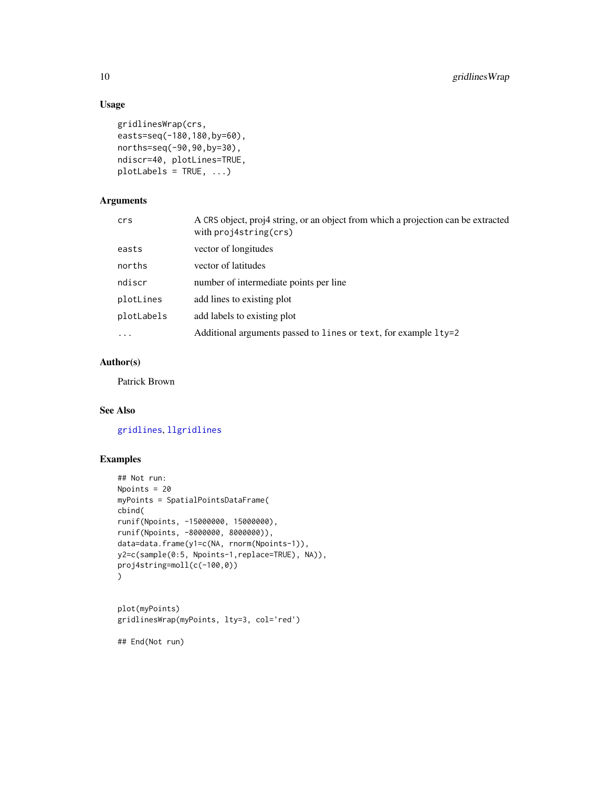## Usage

```
gridlinesWrap(crs,
easts=seq(-180,180,by=60),
norths=seq(-90,90,by=30),
ndiscr=40, plotLines=TRUE,
plotLabels = TRUE, ...)
```
## Arguments

| crs        | A CRS object, proj4 string, or an object from which a projection can be extracted<br>with proj4string(crs) |
|------------|------------------------------------------------------------------------------------------------------------|
| easts      | vector of longitudes                                                                                       |
| norths     | vector of latitudes                                                                                        |
| ndiscr     | number of intermediate points per line                                                                     |
| plotLines  | add lines to existing plot                                                                                 |
| plotLabels | add labels to existing plot                                                                                |
| $\ddotsc$  | Additional arguments passed to lines or text, for example lty=2                                            |

## Author(s)

Patrick Brown

## See Also

[gridlines](#page-0-0), [llgridlines](#page-0-0)

## Examples

```
## Not run:
Npoints = 20
myPoints = SpatialPointsDataFrame(
cbind(
runif(Npoints, -15000000, 15000000),
runif(Npoints, -8000000, 8000000)),
data=data.frame(y1=c(NA, rnorm(Npoints-1)),
y2=c(sample(0:5, Npoints-1,replace=TRUE), NA)),
proj4string=moll(c(-100,0))
)
plot(myPoints)
```

```
gridlinesWrap(myPoints, lty=3, col='red')
```
## End(Not run)

<span id="page-9-0"></span>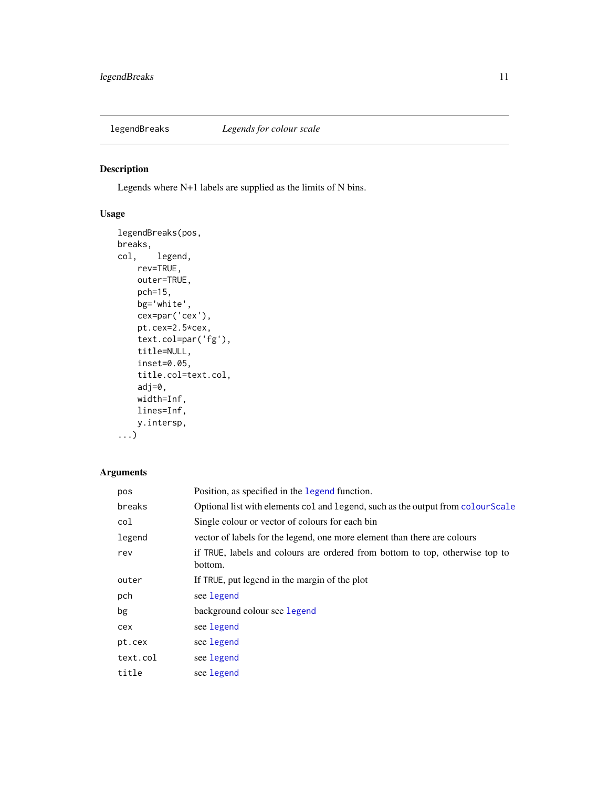<span id="page-10-1"></span><span id="page-10-0"></span>

## Description

Legends where N+1 labels are supplied as the limits of N bins.

## Usage

```
legendBreaks(pos,
breaks,
col, legend,
    rev=TRUE,
    outer=TRUE,
    pch=15,
    bg='white',
    cex=par('cex'),
    pt.cex=2.5*cex,
    text.col=par('fg'),
    title=NULL,
    inset=0.05,
    title.col=text.col,
    adj=0,
    width=Inf,
   lines=Inf,
   y.intersp,
...)
```
## Arguments

| pos      | Position, as specified in the legend function.                                          |
|----------|-----------------------------------------------------------------------------------------|
| breaks   | Optional list with elements col and legend, such as the output from colour Scale        |
| col      | Single colour or vector of colours for each bin                                         |
| legend   | vector of labels for the legend, one more element than there are colours                |
| rev      | if TRUE, labels and colours are ordered from bottom to top, otherwise top to<br>bottom. |
| outer    | If TRUE, put legend in the margin of the plot                                           |
| pch      | see legend                                                                              |
| bg       | background colour see legend                                                            |
| cex      | see legend                                                                              |
| pt.cex   | see legend                                                                              |
| text.col | see legend                                                                              |
| title    | see legend                                                                              |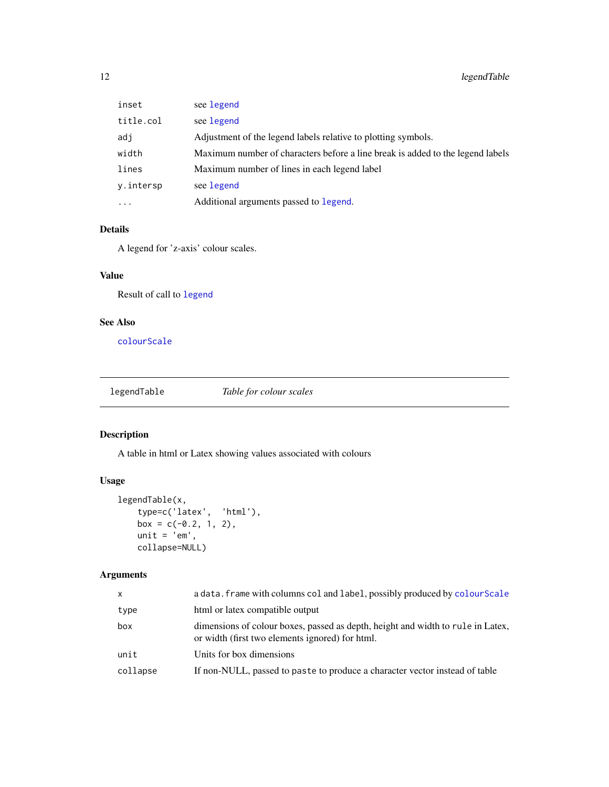<span id="page-11-0"></span>

| inset     | see legend                                                                     |
|-----------|--------------------------------------------------------------------------------|
| title.col | see legend                                                                     |
| adj       | Adjustment of the legend labels relative to plotting symbols.                  |
| width     | Maximum number of characters before a line break is added to the legend labels |
| lines     | Maximum number of lines in each legend label                                   |
| y.intersp | see legend                                                                     |
| $\cdots$  | Additional arguments passed to legend.                                         |

## Details

A legend for 'z-axis' colour scales.

## Value

Result of call to [legend](#page-0-0)

## See Also

[colourScale](#page-2-1)

legendTable *Table for colour scales*

## Description

A table in html or Latex showing values associated with colours

## Usage

```
legendTable(x,
   type=c('latex', 'html'),
   box = c(-0.2, 1, 2),
   unit = 'em',
   collapse=NULL)
```
## Arguments

| X        | a data. frame with columns col and label, possibly produced by colour Scale                                                        |
|----------|------------------------------------------------------------------------------------------------------------------------------------|
| type     | html or latex compatible output                                                                                                    |
| box      | dimensions of colour boxes, passed as depth, height and width to rule in Latex,<br>or width (first two elements ignored) for html. |
| unit     | Units for box dimensions                                                                                                           |
| collapse | If non-NULL, passed to paste to produce a character vector instead of table                                                        |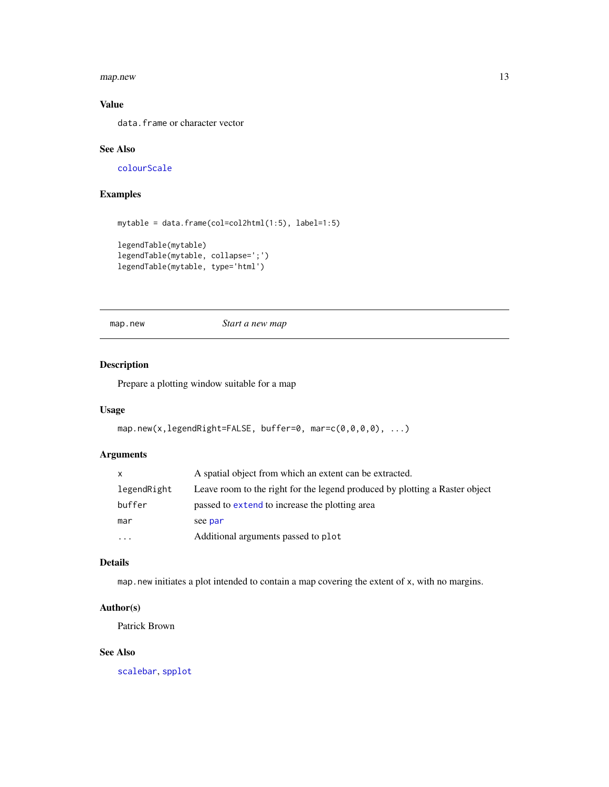<span id="page-12-0"></span>map.new 13

## Value

data.frame or character vector

## See Also

[colourScale](#page-2-1)

## Examples

```
mytable = data.frame(col=col2html(1:5), label=1:5)
legendTable(mytable)
legendTable(mytable, collapse=';')
legendTable(mytable, type='html')
```
map.new *Start a new map*

## Description

Prepare a plotting window suitable for a map

## Usage

```
map.new(x,legendRight=FALSE, buffer=0, mar=c(0,0,0,0), ...)
```
## Arguments

|             | A spatial object from which an extent can be extracted.                     |
|-------------|-----------------------------------------------------------------------------|
| legendRight | Leave room to the right for the legend produced by plotting a Raster object |
| buffer      | passed to extend to increase the plotting area                              |
| mar         | see par                                                                     |
| $\ddotsc$   | Additional arguments passed to plot                                         |

## Details

map.new initiates a plot intended to contain a map covering the extent of x, with no margins.

## Author(s)

Patrick Brown

## See Also

[scalebar](#page-0-0), [spplot](#page-0-0)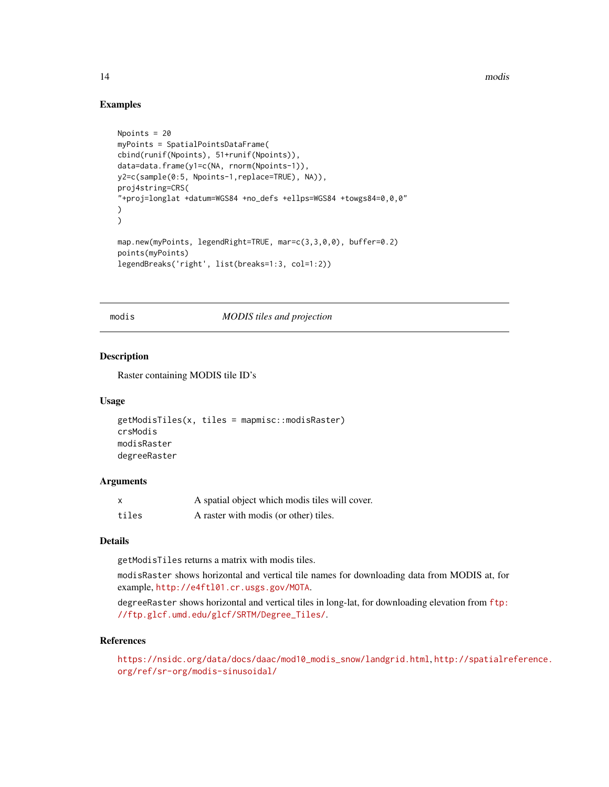14 modis

#### Examples

```
Npoints = 20
myPoints = SpatialPointsDataFrame(
cbind(runif(Npoints), 51+runif(Npoints)),
data=data.frame(y1=c(NA, rnorm(Npoints-1)),
y2=c(sample(0:5, Npoints-1,replace=TRUE), NA)),
proj4string=CRS(
"+proj=longlat +datum=WGS84 +no_defs +ellps=WGS84 +towgs84=0,0,0"
)
)
map.new(myPoints, legendRight=TRUE, mar=c(3,3,0,0), buffer=0.2)
points(myPoints)
legendBreaks('right', list(breaks=1:3, col=1:2))
```
#### modis *MODIS tiles and projection*

#### Description

Raster containing MODIS tile ID's

#### Usage

```
getModisTiles(x, tiles = mapmisc::modisRaster)
crsModis
modisRaster
degreeRaster
```
#### **Arguments**

| x     | A spatial object which modis tiles will cover. |
|-------|------------------------------------------------|
| tiles | A raster with modis (or other) tiles.          |

#### Details

getModisTiles returns a matrix with modis tiles.

modisRaster shows horizontal and vertical tile names for downloading data from MODIS at, for example, <http://e4ftl01.cr.usgs.gov/MOTA>.

degreeRaster shows horizontal and vertical tiles in long-lat, for downloading elevation from [ftp:](ftp://ftp.glcf.umd.edu/glcf/SRTM/Degree_Tiles/) [//ftp.glcf.umd.edu/glcf/SRTM/Degree\\_Tiles/](ftp://ftp.glcf.umd.edu/glcf/SRTM/Degree_Tiles/).

## References

[https://nsidc.org/data/docs/daac/mod10\\_modis\\_snow/landgrid.html](https://nsidc.org/data/docs/daac/mod10_modis_snow/landgrid.html), [http://spatialre](http://spatialreference.org/ref/sr-org/modis-sinusoidal/)ference. [org/ref/sr-org/modis-sinusoidal/](http://spatialreference.org/ref/sr-org/modis-sinusoidal/)

<span id="page-13-0"></span>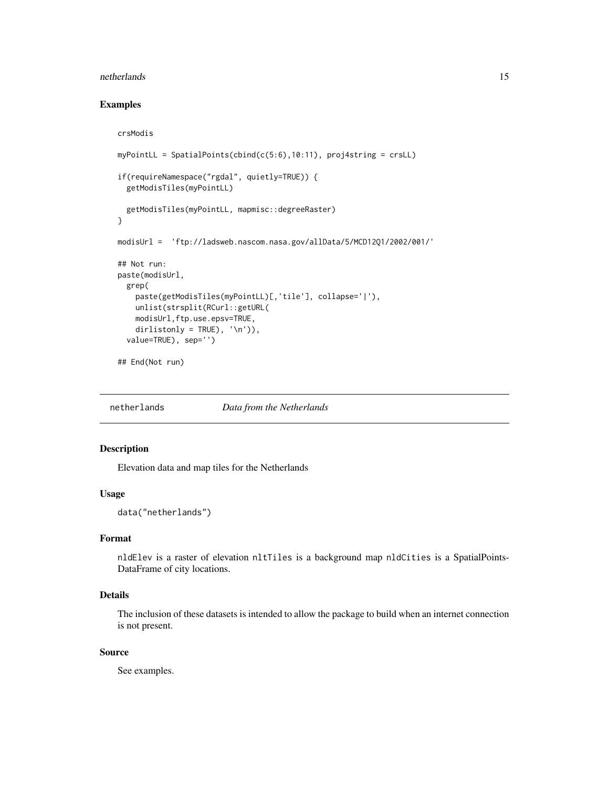#### <span id="page-14-0"></span>netherlands and the state of the state of the state of the state of the state of the state of the state of the state of the state of the state of the state of the state of the state of the state of the state of the state o

## Examples

```
crsModis
myPointLL = SpatialPoints(cbind(c(5:6),10:11), proj4string = crsLL)
if(requireNamespace("rgdal", quietly=TRUE)) {
  getModisTiles(myPointLL)
  getModisTiles(myPointLL, mapmisc::degreeRaster)
}
modisUrl = 'ftp://ladsweb.nascom.nasa.gov/allData/5/MCD12Q1/2002/001/'
## Not run:
paste(modisUrl,
  grep(
   paste(getModisTiles(myPointLL)[,'tile'], collapse='|'),
   unlist(strsplit(RCurl::getURL(
   modisUrl,ftp.use.epsv=TRUE,
   dirlistonly = TRUE), '\n')),
  value=TRUE), sep='')
## End(Not run)
```
netherlands *Data from the Netherlands*

## Description

Elevation data and map tiles for the Netherlands

#### Usage

data("netherlands")

#### Format

nldElev is a raster of elevation nltTiles is a background map nldCities is a SpatialPoints-DataFrame of city locations.

## Details

The inclusion of these datasets is intended to allow the package to build when an internet connection is not present.

## Source

See examples.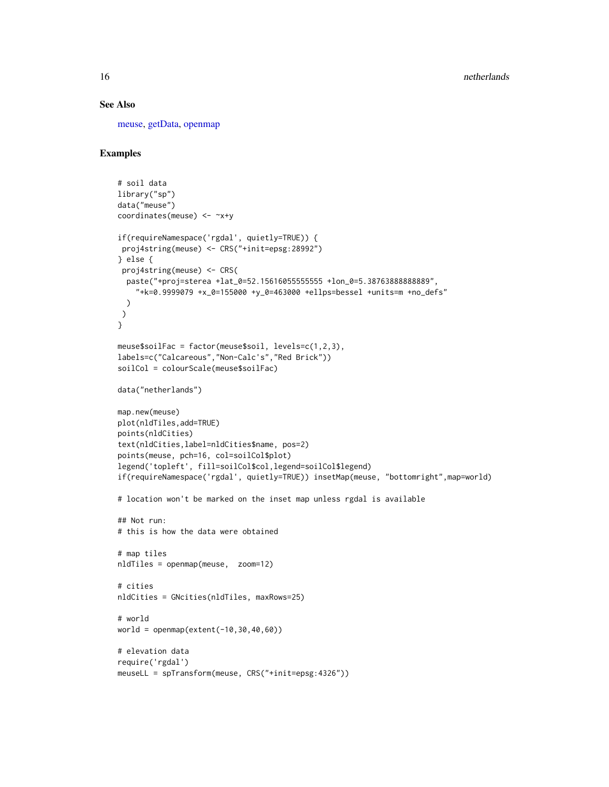## See Also

[meuse,](#page-0-0) [getData,](#page-0-0) [openmap](#page-18-1)

## Examples

```
# soil data
library("sp")
data("meuse")
coordinates(meuse) <- ~x+y
if(requireNamespace('rgdal', quietly=TRUE)) {
proj4string(meuse) <- CRS("+init=epsg:28992")
} else {
proj4string(meuse) <- CRS(
 paste("+proj=sterea +lat_0=52.15616055555555 +lon_0=5.38763888888889",
    "+k=0.9999079 +x_0=155000 +y_0=463000 +ellps=bessel +units=m +no_defs"
  )
 )
}
meuse$soilFac = factor(meuse$soil, levels=c(1,2,3),
labels=c("Calcareous","Non-Calc's","Red Brick"))
soilCol = colourScale(meuse$soilFac)
data("netherlands")
map.new(meuse)
plot(nldTiles,add=TRUE)
points(nldCities)
text(nldCities,label=nldCities$name, pos=2)
points(meuse, pch=16, col=soilCol$plot)
legend('topleft', fill=soilCol$col,legend=soilCol$legend)
if(requireNamespace('rgdal', quietly=TRUE)) insetMap(meuse, "bottomright",map=world)
# location won't be marked on the inset map unless rgdal is available
## Not run:
# this is how the data were obtained
# map tiles
nldTiles = openmap(meuse, zoom=12)
# cities
nldCities = GNcities(nldTiles, maxRows=25)
# world
world = openmap(extent(-10, 30, 40, 60))# elevation data
require('rgdal')
meuseLL = spTransform(meuse, CRS("+init=epsg:4326"))
```
<span id="page-15-0"></span>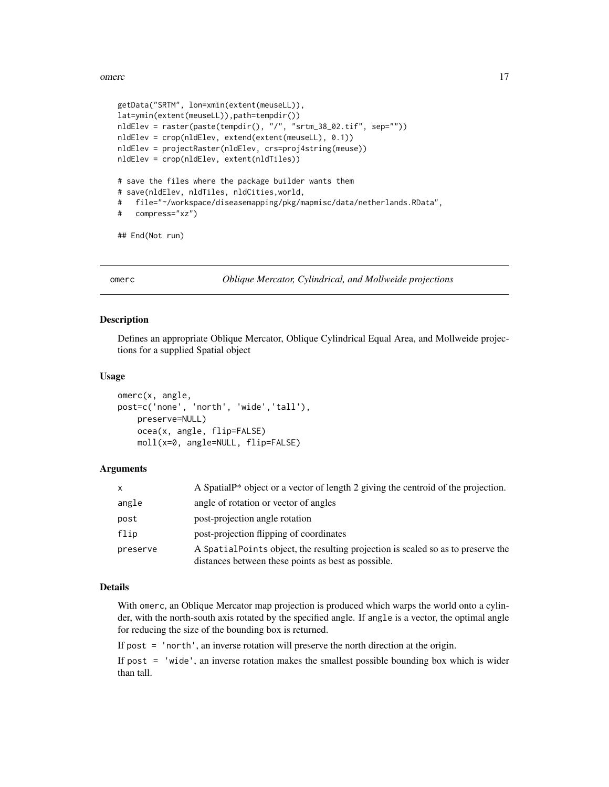#### <span id="page-16-0"></span>omerc and the contract of the contract of the contract of the contract of the contract of the contract of the contract of the contract of the contract of the contract of the contract of the contract of the contract of the

```
getData("SRTM", lon=xmin(extent(meuseLL)),
lat=ymin(extent(meuseLL)),path=tempdir())
nldElev = raster(paste(tempdir(), "/", "srtm_38_02.tif", sep=""))
nldElev = crop(nldElev, extend(extent(meuseLL), 0.1))
nldElev = projectRaster(nldElev, crs=proj4string(meuse))
nldElev = crop(nldElev, extent(nldTiles))
# save the files where the package builder wants them
# save(nldElev, nldTiles, nldCities,world,
# file="~/workspace/diseasemapping/pkg/mapmisc/data/netherlands.RData",
# compress="xz")
```

```
## End(Not run)
```
#### omerc *Oblique Mercator, Cylindrical, and Mollweide projections*

## Description

Defines an appropriate Oblique Mercator, Oblique Cylindrical Equal Area, and Mollweide projections for a supplied Spatial object

#### Usage

```
omerc(x, angle,
post=c('none', 'north', 'wide','tall'),
    preserve=NULL)
    ocea(x, angle, flip=FALSE)
   moll(x=0, angle=NULL, flip=FALSE)
```
#### Arguments

| X        | A Spatial P <sup>*</sup> object or a vector of length 2 giving the centroid of the projection.                                          |
|----------|-----------------------------------------------------------------------------------------------------------------------------------------|
| angle    | angle of rotation or vector of angles                                                                                                   |
| post     | post-projection angle rotation                                                                                                          |
| flip     | post-projection flipping of coordinates                                                                                                 |
| preserve | A SpatialPoints object, the resulting projection is scaled so as to preserve the<br>distances between these points as best as possible. |

#### Details

With omerc, an Oblique Mercator map projection is produced which warps the world onto a cylinder, with the north-south axis rotated by the specified angle. If angle is a vector, the optimal angle for reducing the size of the bounding box is returned.

If post = 'north', an inverse rotation will preserve the north direction at the origin.

If post = 'wide', an inverse rotation makes the smallest possible bounding box which is wider than tall.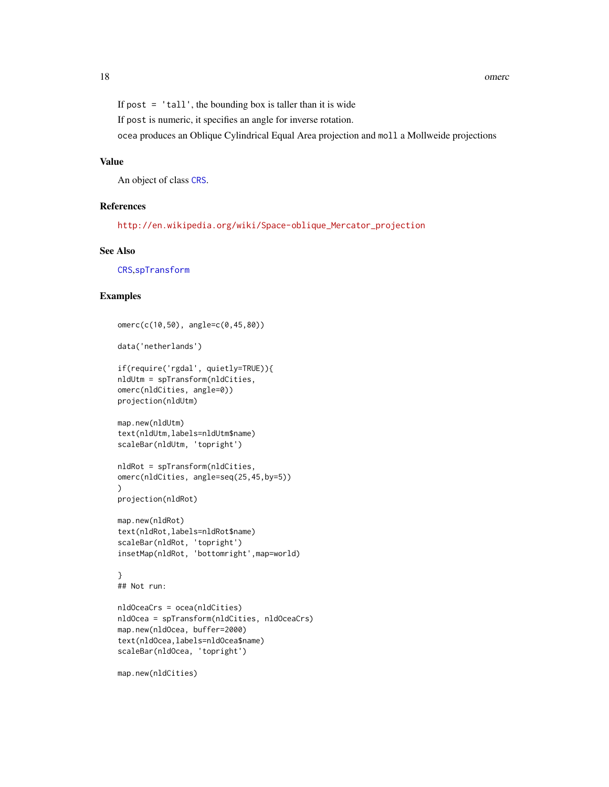<span id="page-17-0"></span>If post  $=$  'tall', the bounding box is taller than it is wide

If post is numeric, it specifies an angle for inverse rotation.

ocea produces an Oblique Cylindrical Equal Area projection and moll a Mollweide projections

#### Value

An object of class [CRS](#page-0-0).

#### References

[http://en.wikipedia.org/wiki/Space-oblique\\_Mercator\\_projection](http://en.wikipedia.org/wiki/Space-oblique_Mercator_projection)

## See Also

[CRS](#page-0-0),[spTransform](#page-0-0)

#### Examples

```
omerc(c(10,50), angle=c(0,45,80))
data('netherlands')
if(require('rgdal', quietly=TRUE)){
nldUtm = spTransform(nldCities,
omerc(nldCities, angle=0))
projection(nldUtm)
map.new(nldUtm)
text(nldUtm,labels=nldUtm$name)
scaleBar(nldUtm, 'topright')
nldRot = spTransform(nldCities,
omerc(nldCities, angle=seq(25,45,by=5))
\mathcal{L}projection(nldRot)
map.new(nldRot)
text(nldRot,labels=nldRot$name)
scaleBar(nldRot, 'topright')
insetMap(nldRot, 'bottomright',map=world)
}
## Not run:
nldOceaCrs = ocea(nldCities)
nldOcea = spTransform(nldCities, nldOceaCrs)
map.new(nldOcea, buffer=2000)
text(nldOcea,labels=nldOcea$name)
scaleBar(nldOcea, 'topright')
map.new(nldCities)
```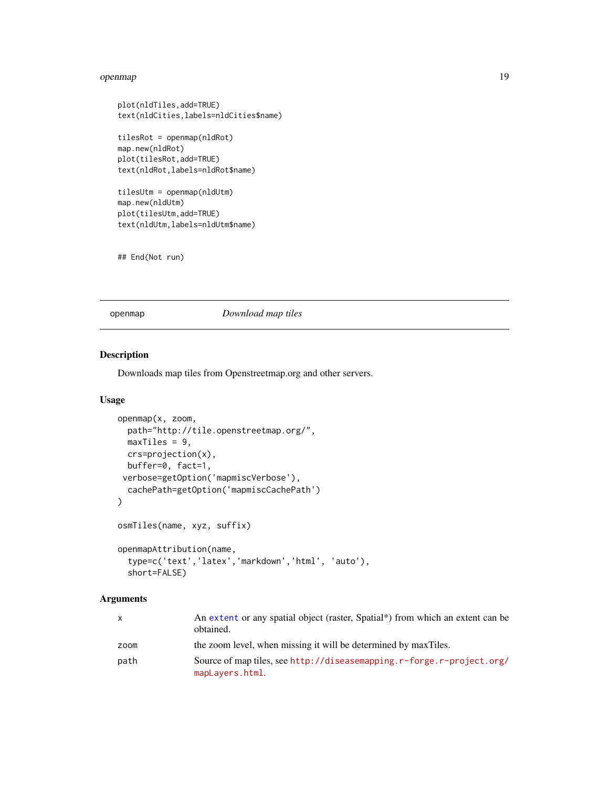#### <span id="page-18-0"></span>openmap 19

```
plot(nldTiles,add=TRUE)
text(nldCities,labels=nldCities$name)
tilesRot = openmap(nldRot)
map.new(nldRot)
plot(tilesRot,add=TRUE)
text(nldRot,labels=nldRot$name)
tilesUtm = openmap(nldUtm)
map.new(nldUtm)
plot(tilesUtm,add=TRUE)
```
text(nldUtm,labels=nldUtm\$name)

```
## End(Not run)
```
<span id="page-18-1"></span>openmap *Download map tiles*

## Description

Downloads map tiles from Openstreetmap.org and other servers.

#### Usage

```
openmap(x, zoom,
  path="http://tile.openstreetmap.org/",
 maxTiles = 9,
 crs=projection(x),
  buffer=0, fact=1,
 verbose=getOption('mapmiscVerbose'),
  cachePath=getOption('mapmiscCachePath')
\lambdaosmTiles(name, xyz, suffix)
openmapAttribution(name,
  type=c('text','latex','markdown','html', 'auto'),
  short=FALSE)
```
## Arguments

| $\mathsf{x}$ | An extent or any spatial object (raster, Spatial*) from which an extent can be<br>obtained. |
|--------------|---------------------------------------------------------------------------------------------|
| zoom         | the zoom level, when missing it will be determined by maxTiles.                             |
| path         | Source of map tiles, see http://diseasemapping.r-forge.r-project.org/<br>mapLayers.html.    |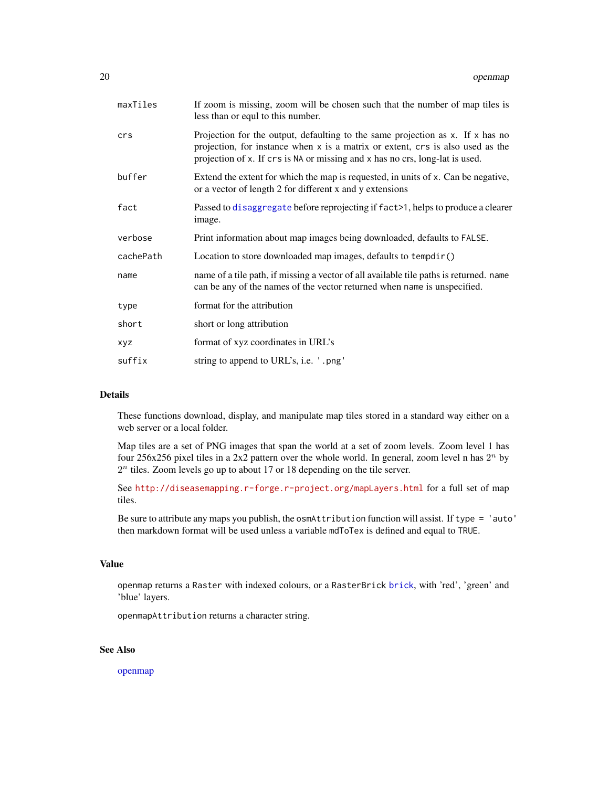<span id="page-19-0"></span>

| maxTiles   | If zoom is missing, zoom will be chosen such that the number of map tiles is<br>less than or equil to this number.                                                                                                                                    |
|------------|-------------------------------------------------------------------------------------------------------------------------------------------------------------------------------------------------------------------------------------------------------|
| crs        | Projection for the output, defaulting to the same projection as $x$ . If $x$ has no<br>projection, for instance when x is a matrix or extent, crs is also used as the<br>projection of x. If crs is NA or missing and x has no crs, long-lat is used. |
| buffer     | Extend the extent for which the map is requested, in units of x. Can be negative,<br>or a vector of length 2 for different x and y extensions                                                                                                         |
| fact       | Passed to disaggregate before reprojecting if fact>1, helps to produce a clearer<br>image.                                                                                                                                                            |
| verbose    | Print information about map images being downloaded, defaults to FALSE.                                                                                                                                                                               |
| cachePath  | Location to store downloaded map images, defaults to tempdir()                                                                                                                                                                                        |
| name       | name of a tile path, if missing a vector of all available tile paths is returned. name<br>can be any of the names of the vector returned when name is unspecified.                                                                                    |
| type       | format for the attribution                                                                                                                                                                                                                            |
| short      | short or long attribution                                                                                                                                                                                                                             |
| <b>XYZ</b> | format of xyz coordinates in URL's                                                                                                                                                                                                                    |
| suffix     | string to append to URL's, i.e. '.png'                                                                                                                                                                                                                |

## Details

These functions download, display, and manipulate map tiles stored in a standard way either on a web server or a local folder.

Map tiles are a set of PNG images that span the world at a set of zoom levels. Zoom level 1 has four 256x256 pixel tiles in a 2x2 pattern over the whole world. In general, zoom level n has  $2<sup>n</sup>$  by  $2<sup>n</sup>$  tiles. Zoom levels go up to about 17 or 18 depending on the tile server.

See <http://diseasemapping.r-forge.r-project.org/mapLayers.html> for a full set of map tiles.

Be sure to attribute any maps you publish, the osmAttribution function will assist. If type = 'auto' then markdown format will be used unless a variable mdToTex is defined and equal to TRUE.

#### Value

openmap returns a Raster with indexed colours, or a RasterBrick [brick](#page-0-0), with 'red', 'green' and 'blue' layers.

openmapAttribution returns a character string.

## See Also

[openmap](#page-18-1)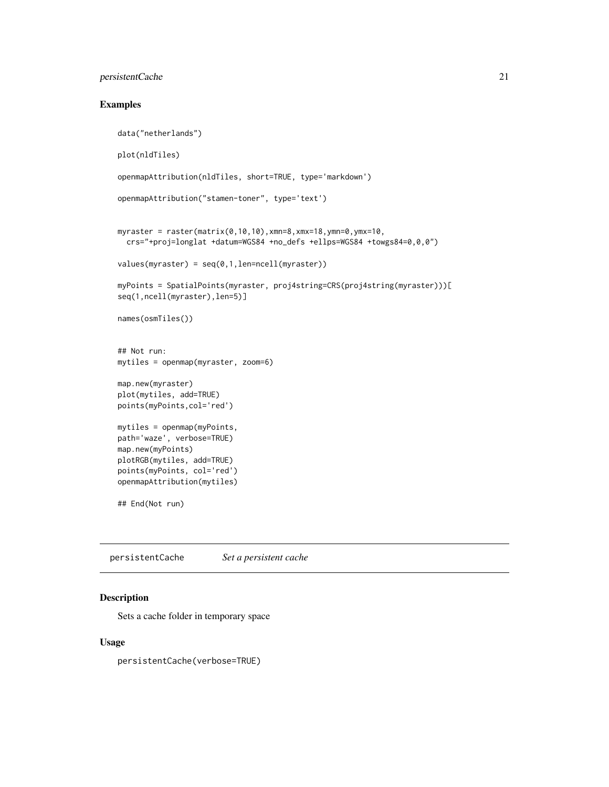## <span id="page-20-0"></span>persistentCache 21

## Examples

```
data("netherlands")
plot(nldTiles)
openmapAttribution(nldTiles, short=TRUE, type='markdown')
openmapAttribution("stamen-toner", type='text')
myraster = raster(matrix(0, 10, 10), xmn=8, xmx=18, ymn=0, ymx=10,crs="+proj=longlat +datum=WGS84 +no_defs +ellps=WGS84 +towgs84=0,0,0")
values(myraster) = seq(0,1,len=ncell(myraster))
myPoints = SpatialPoints(myraster, proj4string=CRS(proj4string(myraster)))[
seq(1,ncell(myraster),len=5)]
names(osmTiles())
## Not run:
mytiles = openmap(myraster, zoom=6)
map.new(myraster)
plot(mytiles, add=TRUE)
points(myPoints,col='red')
mytiles = openmap(myPoints,
path='waze', verbose=TRUE)
map.new(myPoints)
plotRGB(mytiles, add=TRUE)
points(myPoints, col='red')
openmapAttribution(mytiles)
## End(Not run)
```
persistentCache *Set a persistent cache*

#### Description

Sets a cache folder in temporary space

#### Usage

persistentCache(verbose=TRUE)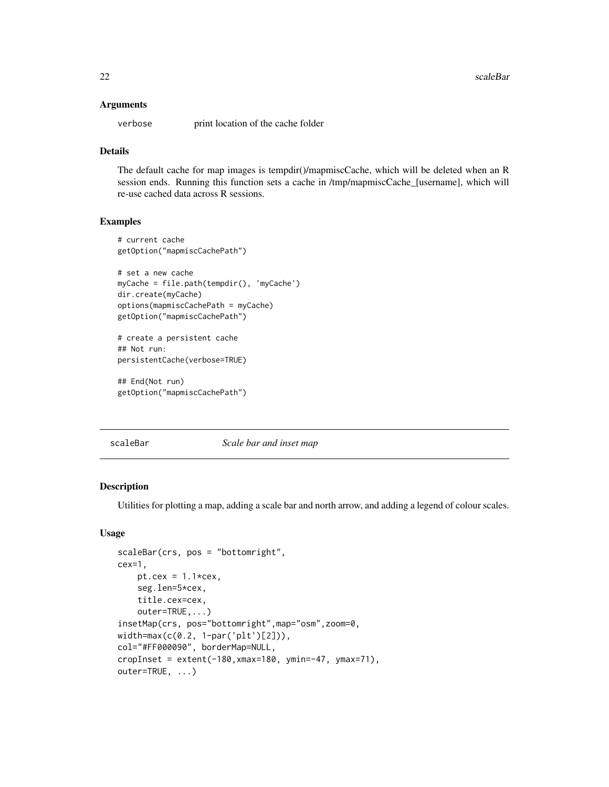#### <span id="page-21-0"></span>Arguments

verbose print location of the cache folder

## Details

The default cache for map images is tempdir()/mapmiscCache, which will be deleted when an R session ends. Running this function sets a cache in /tmp/mapmiscCache\_[username], which will re-use cached data across R sessions.

#### Examples

```
# current cache
getOption("mapmiscCachePath")
# set a new cache
myCache = file.path(tempdir(), 'myCache')
dir.create(myCache)
options(mapmiscCachePath = myCache)
getOption("mapmiscCachePath")
# create a persistent cache
## Not run:
```

```
persistentCache(verbose=TRUE)
```

```
## End(Not run)
getOption("mapmiscCachePath")
```
<span id="page-21-1"></span>scaleBar *Scale bar and inset map*

## Description

Utilities for plotting a map, adding a scale bar and north arrow, and adding a legend of colour scales.

#### Usage

```
scaleBar(crs, pos = "bottomright",
cex=1,
    pt.cex = 1.1*cex,
    seg.len=5*cex,
    title.cex=cex,
    outer=TRUE,...)
insetMap(crs, pos="bottomright",map="osm",zoom=0,
width=max(c(0.2, 1-par('plt')[2])),
col="#FF000090", borderMap=NULL,
cropInset = extent(-180, xmax=180, ymin=-47, ymax=71),outer=TRUE, ...)
```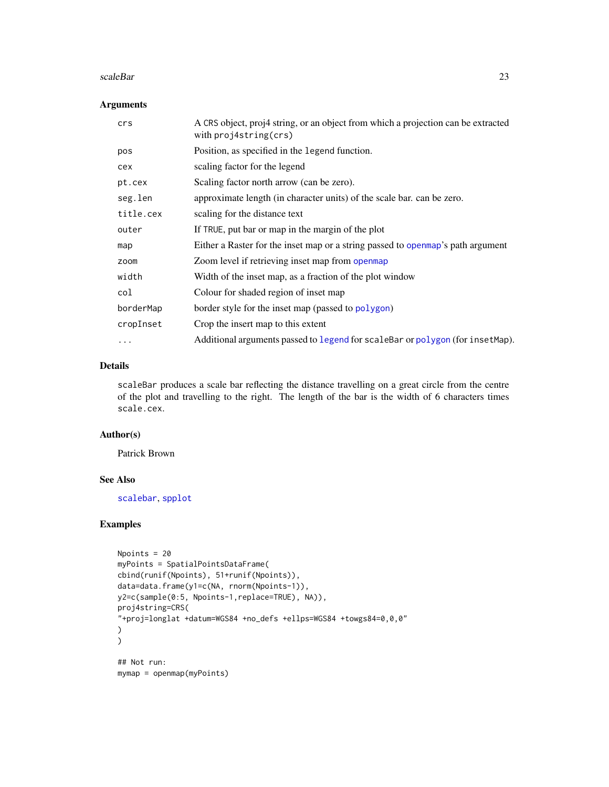#### <span id="page-22-0"></span>scaleBar 23

### Arguments

| crs       | A CRS object, proj4 string, or an object from which a projection can be extracted<br>with $proj4string(crs)$ |
|-----------|--------------------------------------------------------------------------------------------------------------|
| pos       | Position, as specified in the legend function.                                                               |
| cex       | scaling factor for the legend                                                                                |
| pt.cex    | Scaling factor north arrow (can be zero).                                                                    |
| seg.len   | approximate length (in character units) of the scale bar, can be zero.                                       |
| title.cex | scaling for the distance text                                                                                |
| outer     | If TRUE, put bar or map in the margin of the plot                                                            |
| map       | Either a Raster for the inset map or a string passed to open map's path argument                             |
| zoom      | Zoom level if retrieving inset map from openmap                                                              |
| width     | Width of the inset map, as a fraction of the plot window                                                     |
| col       | Colour for shaded region of inset map                                                                        |
| borderMap | border style for the inset map (passed to polygon)                                                           |
| cropInset | Crop the insert map to this extent                                                                           |
| $\cdots$  | Additional arguments passed to legend for scaleBar or polygon (for insetMap).                                |

## Details

scaleBar produces a scale bar reflecting the distance travelling on a great circle from the centre of the plot and travelling to the right. The length of the bar is the width of 6 characters times scale.cex.

#### Author(s)

Patrick Brown

## See Also

[scalebar](#page-0-0), [spplot](#page-0-0)

## Examples

```
Npoints = 20
myPoints = SpatialPointsDataFrame(
cbind(runif(Npoints), 51+runif(Npoints)),
data=data.frame(y1=c(NA, rnorm(Npoints-1)),
y2=c(sample(0:5, Npoints-1,replace=TRUE), NA)),
proj4string=CRS(
"+proj=longlat +datum=WGS84 +no_defs +ellps=WGS84 +towgs84=0,0,0"
)
\mathcal{L}## Not run:
mymap = openmap(myPoints)
```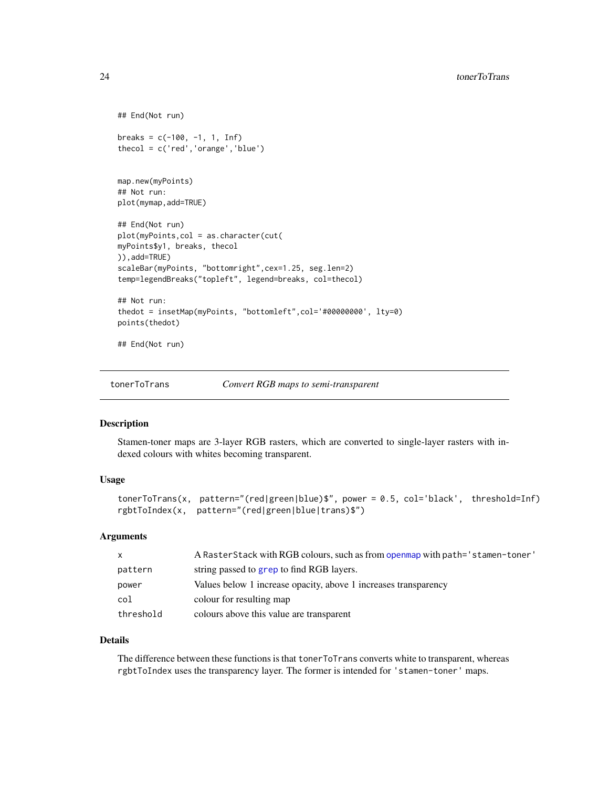```
## End(Not run)
breaks = c(-100, -1, 1, Inf)thecol = c('red','orange','blue')
map.new(myPoints)
## Not run:
plot(mymap,add=TRUE)
## End(Not run)
plot(myPoints,col = as.character(cut(
myPoints$y1, breaks, thecol
)),add=TRUE)
scaleBar(myPoints, "bottomright",cex=1.25, seg.len=2)
temp=legendBreaks("topleft", legend=breaks, col=thecol)
## Not run:
thedot = insetMap(myPoints, "bottomleft",col='#00000000', lty=0)
points(thedot)
## End(Not run)
```
tonerToTrans *Convert RGB maps to semi-transparent*

#### Description

Stamen-toner maps are 3-layer RGB rasters, which are converted to single-layer rasters with indexed colours with whites becoming transparent.

#### Usage

```
tonerToTrans(x, pattern="(red|green|blue)$", power = 0.5, col='black', threshold=Inf)
rgbtToIndex(x, pattern="(red|green|blue|trans)$")
```
#### Arguments

| $\mathsf{x}$ | A Raster Stack with RGB colours, such as from openmap with path='stamen-toner' |
|--------------|--------------------------------------------------------------------------------|
| pattern      | string passed to grep to find RGB layers.                                      |
| power        | Values below 1 increase opacity, above 1 increases transparency                |
| col          | colour for resulting map                                                       |
| threshold    | colours above this value are transparent                                       |

## Details

The difference between these functions is that tonerToTrans converts white to transparent, whereas rgbtToIndex uses the transparency layer. The former is intended for 'stamen-toner' maps.

<span id="page-23-0"></span>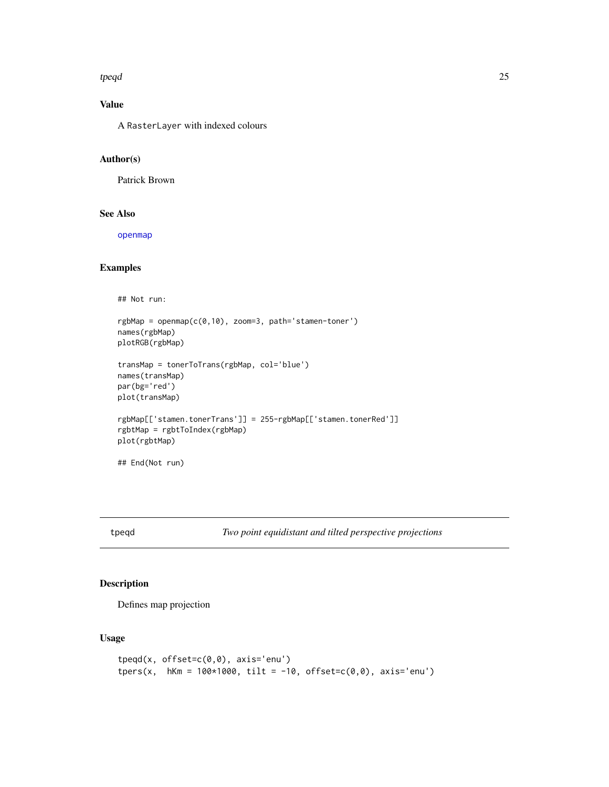#### <span id="page-24-0"></span>tpeqd 25

## Value

A RasterLayer with indexed colours

## Author(s)

Patrick Brown

## See Also

[openmap](#page-18-1)

## Examples

```
## Not run:
rgbMap = openmap(c(0,10), zoom=3, path='stamen-toner')
names(rgbMap)
plotRGB(rgbMap)
transMap = tonerToTrans(rgbMap, col='blue')
names(transMap)
par(bg='red')
plot(transMap)
rgbMap[['stamen.tonerTrans']] = 255-rgbMap[['stamen.tonerRed']]
rgbtMap = rgbtToIndex(rgbMap)
plot(rgbtMap)
## End(Not run)
```
tpeqd *Two point equidistant and tilted perspective projections*

## Description

Defines map projection

#### Usage

```
tpeqd(x, offset=c(0,0), axis='enu')
tpers(x, hKm = 100*1000, tilt = -10, offset=c(0,0), axis='enu')
```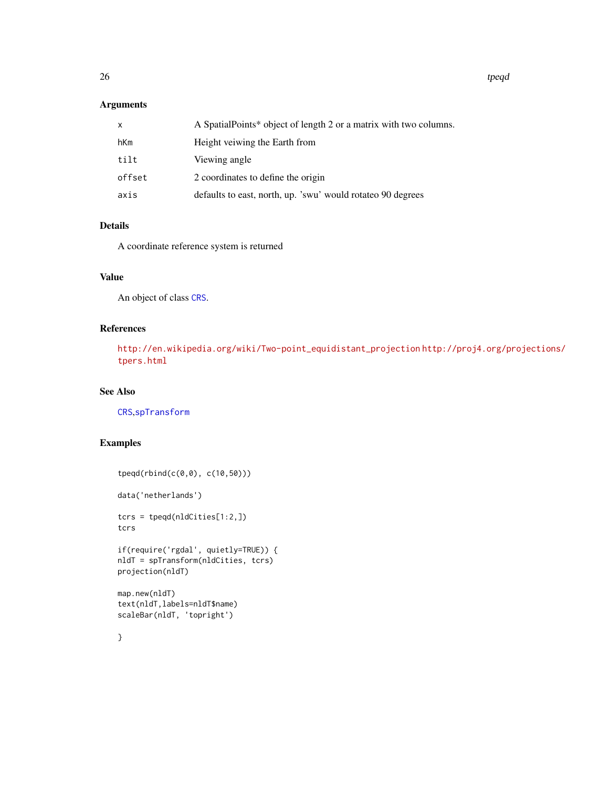<span id="page-25-0"></span>26 the contract of the contract of the contract of the contract of the contract of the contract of the contract of the contract of the contract of the contract of the contract of the contract of the contract of the contrac

## Arguments

| x      | A SpatialPoints* object of length 2 or a matrix with two columns. |
|--------|-------------------------------------------------------------------|
| hKm    | Height veiwing the Earth from                                     |
| tilt   | Viewing angle                                                     |
| offset | 2 coordinates to define the origin                                |
| axis   | defaults to east, north, up. 'swu' would rotateo 90 degrees       |

## Details

A coordinate reference system is returned

## Value

An object of class [CRS](#page-0-0).

## References

[http://en.wikipedia.org/wiki/Two-point\\_equidistant\\_projection](http://en.wikipedia.org/wiki/Two-point_equidistant_projection) [http://proj4.org/p](http://proj4.org/projections/tpers.html)rojections/ [tpers.html](http://proj4.org/projections/tpers.html)

## See Also

[CRS](#page-0-0),[spTransform](#page-0-0)

## Examples

```
tpeqd(rbind(c(0,0), c(10,50)))
data('netherlands')
tcrs = tpeqd(nldCities[1:2,])
tcrs
if(require('rgdal', quietly=TRUE)) {
nldT = spTransform(nldCities, tcrs)
projection(nldT)
map.new(nldT)
text(nldT,labels=nldT$name)
scaleBar(nldT, 'topright')
}
```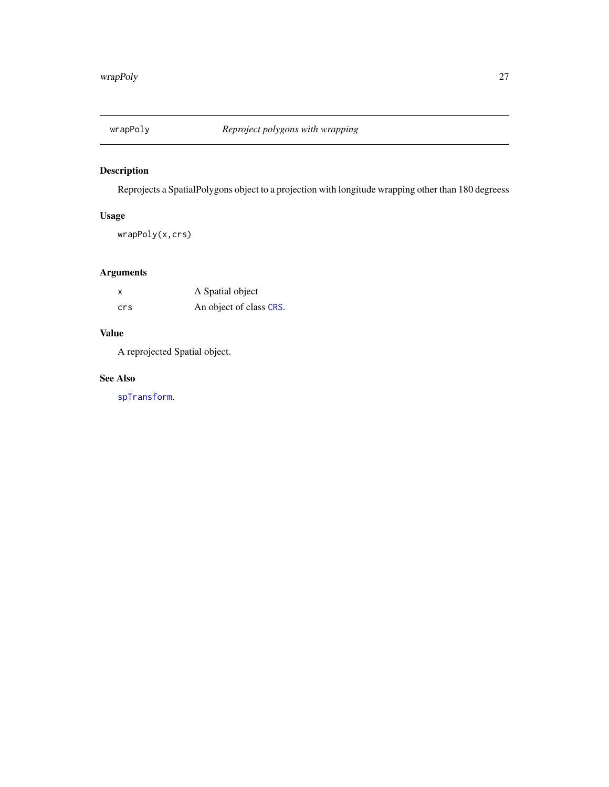<span id="page-26-0"></span>

## Description

Reprojects a SpatialPolygons object to a projection with longitude wrapping other than 180 degreess

## Usage

wrapPoly(x,crs)

## Arguments

| x   | A Spatial object        |
|-----|-------------------------|
| crs | An object of class CRS. |

## Value

A reprojected Spatial object.

## See Also

[spTransform](#page-0-0).